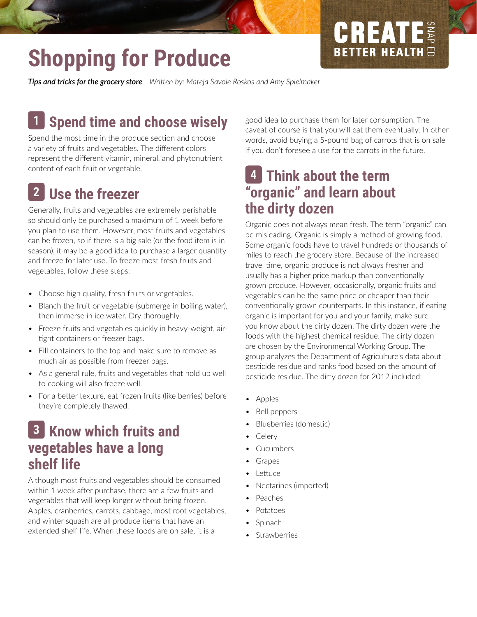# **Shopping for Produce**

*Tips and tricks for the grocery store Writen by: Mateja Savoie Roskos and Amy Spielmaker*

#### **Spend time and choose wisely 1**

Spend the most time in the produce section and choose a variety of fruits and vegetables. The diferent colors represent the diferent vitamin, mineral, and phytonutrient content of each fruit or vegetable.

### **Use the freezer 2**

Generally, fruits and vegetables are extremely perishable so should only be purchased a maximum of 1 week before you plan to use them. However, most fruits and vegetables can be frozen, so if there is a big sale (or the food item is in season), it may be a good idea to purchase a larger quantity and freeze for later use. To freeze most fresh fruits and vegetables, follow these steps:

- Choose high quality, fresh fruits or vegetables.
- Blanch the fruit or vegetable (submerge in boiling water), then immerse in ice water. Dry thoroughly.
- Freeze fruits and vegetables quickly in heavy-weight, airtight containers or freezer bags.
- Fill containers to the top and make sure to remove as much air as possible from freezer bags.
- As a general rule, fruits and vegetables that hold up well to cooking will also freeze well.
- For a better texture, eat frozen fruits (like berries) before they're completely thawed.

#### **Know which fruits and 3 vegetables have a long shelf life**

Although most fruits and vegetables should be consumed within 1 week after purchase, there are a few fruits and vegetables that will keep longer without being frozen. Apples, cranberries, carrots, cabbage, most root vegetables, and winter squash are all produce items that have an extended shelf life. When these foods are on sale, it is a

good idea to purchase them for later consumption. The caveat of course is that you will eat them eventually. In other words, avoid buying a 5-pound bag of carrots that is on sale if you don't foresee a use for the carrots in the future.

CREATE

**BETTER HEALTH** 

#### **Think about the term 4"organic" and learn about the dirty dozen**

Organic does not always mean fresh. The term "organic" can be misleading. Organic is simply a method of growing food. Some organic foods have to travel hundreds or thousands of miles to reach the grocery store. Because of the increased travel tme, organic produce is not always fresher and usually has a higher price markup than conventonally grown produce. However, occasionally, organic fruits and vegetables can be the same price or cheaper than their conventionally grown counterparts. In this instance, if eating organic is important for you and your family, make sure you know about the dirty dozen. The dirty dozen were the foods with the highest chemical residue. The dirty dozen are chosen by the Environmental Working Group. The group analyzes the Department of Agriculture's data about pesticide residue and ranks food based on the amount of pesticide residue. The dirty dozen for 2012 included:

- Apples
- Bell peppers
- Blueberries (domestic)
- Celery
- **Cucumbers**
- **Grapes**
- **Lettuce**
- Nectarines (imported)
- **Peaches**
- Potatoes
- **Spinach**
- **Strawberries**